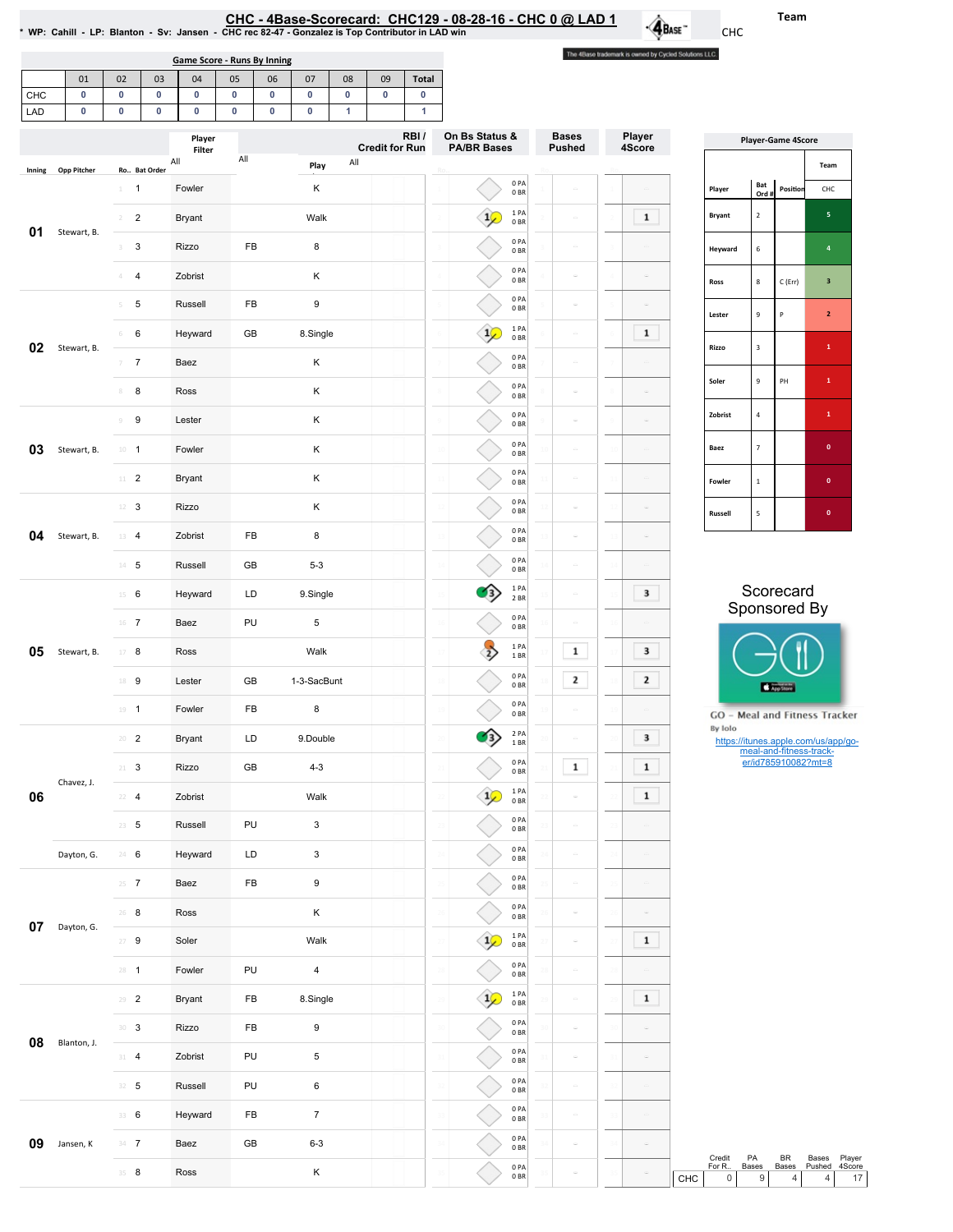EHC - 4Base-Scorecard: CHC129 - 08-28-16 - CHC 0 @ LAD 1><br>\* WP: Cahill - LP: Blanton - Sv: Jansen - CHC rec 82-47 - Gonzalez is Top Contributor in LAD win

Game Score - Runs By Inning

Г

The 4Base trademark is owned by Cycled Solutions LLC.

 $\mathbf{\hat{A}}$ Base

|            | 01                         | 02                              | 03                     | 04                         | 05                       | 06               | 07                     | 08                        | 09          | Total                                       |  |                |                          |                     |                                                      |                           |                     |                           |                           |                                     |                  |
|------------|----------------------------|---------------------------------|------------------------|----------------------------|--------------------------|------------------|------------------------|---------------------------|-------------|---------------------------------------------|--|----------------|--------------------------|---------------------|------------------------------------------------------|---------------------------|---------------------|---------------------------|---------------------------|-------------------------------------|------------------|
| CHC<br>LAD | $\mathbf 0$<br>$\mathbf 0$ | $\pmb{0}$<br>$\pmb{0}$          | $\pmb{0}$<br>$\pmb{0}$ | $\mathbf 0$<br>$\mathbf 0$ | $\mathbf 0$<br>$\pmb{0}$ | $\mathbf 0$<br>0 | $\pmb{0}$<br>$\pmb{0}$ | $\pmb{0}$<br>$\mathbf{1}$ | $\mathbf 0$ | $\mathbf 0$<br>$\mathbf{1}$                 |  |                |                          |                     |                                                      |                           |                     |                           |                           |                                     |                  |
|            |                            |                                 |                        | Player                     |                          |                  |                        |                           |             | RBI/                                        |  | On Bs Status & |                          | <b>Bases</b>        | Player<br>4Score                                     | <b>Player-Game 4Score</b> |                     |                           |                           |                                     |                  |
| Inning     | <b>Opp Pitcher</b>         |                                 | Ro Bat Order           | Filter<br>All              | All                      |                  | Play                   | All                       |             | <b>Credit for Run</b><br><b>PA/BR Bases</b> |  |                | <b>Pushed</b>            |                     |                                                      |                           |                     |                           | Team                      |                                     |                  |
|            |                            | $\overline{1}$<br>$1 -$         |                        | Fowler                     |                          |                  | Κ                      |                           |             |                                             |  |                | 0PA<br>0B                |                     |                                                      | Player                    |                     | Bat<br>Ord #              | Position                  | CHC                                 |                  |
|            |                            | $\overline{2}$<br>$\mathcal{D}$ |                        | <b>Bryant</b>              |                          |                  | Walk                   |                           |             |                                             |  | $\frac{1}{2}$  | 1 PA<br>0BR              | $\equiv$            | $\mathbf 1$                                          | Bryant                    |                     | $\mathbf 2$               |                           | 5                                   |                  |
| 01         | Stewart, B.                | 3<br>3                          |                        | <b>Rizzo</b>               | FB                       |                  | 8                      |                           |             |                                             |  |                | 0PA<br>0 <sub>BR</sub>   | $\bar{\omega}$      |                                                      | Heyward                   |                     | $\sf 6$                   |                           | $\pmb{4}$                           |                  |
|            |                            | $\overline{4}$<br>4             |                        | Zobrist                    |                          |                  | Κ                      |                           |             |                                             |  |                | 0PA<br>0BR               | $\bar{\omega}$      | $\bar{a}$                                            | Ross                      |                     | $\bf 8$                   | C (Err)                   | $\ensuremath{\mathsf{3}}$           |                  |
|            | Stewart, B.                | $\,$ 5 $\,$<br>5                |                        | Russell                    | FB                       |                  | 9                      |                           |             |                                             |  |                | 0PA<br>0 <sub>BR</sub>   | $\bar{a}$           |                                                      | Lester                    |                     | 9                         | $\, {\sf p}$              | $\overline{\mathbf{2}}$             |                  |
| 02         |                            | 6<br>6                          |                        | Heyward                    | GB                       |                  | 8.Single               |                           |             |                                             |  | $\frac{1}{2}$  | 1PA<br>0 <sub>BR</sub>   | $\bar{\omega}$      | $\mathbf{1}$                                         | Rizzo                     |                     | $\overline{\mathbf{3}}$   |                           | $\mathbf 1$                         |                  |
|            |                            | $\overline{7}$<br>$\tau$        |                        | Baez                       |                          |                  | Κ                      |                           |             |                                             |  |                | 0PA<br>0BR               | $\equiv$            |                                                      | Soler                     |                     | $\boldsymbol{9}$          | $\mathsf{PH}$             | $\mathbf{1}$                        |                  |
|            |                            | 8<br>8                          |                        | Ross                       |                          |                  | Κ                      |                           |             |                                             |  |                | 0PA<br>0BR               | $\bar{\omega}$      |                                                      |                           |                     |                           |                           |                                     |                  |
|            |                            | 9<br>9                          |                        | Lester                     |                          |                  | Κ                      |                           |             |                                             |  |                | 0PA<br>0 <sub>BR</sub>   | $\overline{\omega}$ |                                                      | Zobrist                   |                     | $\sqrt{4}$                |                           | $\mathbf{1}^-$                      |                  |
| 03         | Stewart, B.                | $10 - 1$                        |                        | Fowler                     |                          |                  | Κ                      |                           |             |                                             |  |                | 0PA<br>0 <sub>BR</sub>   | $\equiv$            |                                                      | Baez                      |                     | $\overline{\phantom{a}}$  |                           | $\mathbf 0$                         |                  |
|            |                            | $11$ – $2$                      |                        | <b>Bryant</b>              |                          |                  | Κ                      |                           |             |                                             |  |                | 0PA<br>0B                |                     |                                                      | Fowler                    |                     | $\,1\,$                   |                           | $\mathbf 0$                         |                  |
| 04         | Stewart, B.                | 12 <sup>2</sup>                 |                        | Rizzo                      |                          |                  | Κ                      |                           |             |                                             |  |                | 0PA<br>0BR               | $\equiv$            |                                                      | Russell                   |                     | $\sf 5$                   |                           | $\mathbf{0}^-$                      |                  |
|            |                            | 13 4                            |                        | Zobrist                    | FB                       |                  | 8                      |                           |             |                                             |  |                | 0PA<br>0BR               | $\bar{\omega}$      |                                                      |                           |                     |                           |                           |                                     |                  |
|            |                            | $14$ 5                          |                        | Russell                    | GB                       |                  | $5 - 3$                |                           |             |                                             |  |                | 0PA<br>0BR               |                     |                                                      |                           |                     |                           |                           |                                     |                  |
|            |                            | $15 \t 6$                       |                        | Heyward                    | LD                       |                  | 9.Single               |                           |             |                                             |  | 兮              | 1PA<br>2 BR              | $\bar{a}$           | 3                                                    |                           |                     |                           | Scorecard<br>Sponsored By |                                     |                  |
|            |                            | $16$ 7                          |                        | Baez                       | PU                       |                  | 5                      |                           |             |                                             |  |                | 0PA<br>0BR               |                     |                                                      |                           |                     |                           |                           |                                     |                  |
| 05         | Stewart, B.                | $17 - 8$                        |                        | Ross                       |                          |                  | Walk                   |                           |             |                                             |  | $\frac{1}{2}$  | 1 PA<br>1 BR             | $\mathbf{1}$        | 3                                                    | <b>App Store</b>          |                     |                           |                           |                                     |                  |
|            |                            | 18 9                            |                        | Lester                     | GB                       |                  | 1-3-SacBunt            |                           |             |                                             |  |                | 0PA<br>0BR               | $\mathbf{2}$        | $\mathbf{2}$                                         |                           |                     |                           |                           |                                     |                  |
|            |                            | $19 - 1$                        |                        | Fowler                     | FB                       |                  | 8                      |                           |             |                                             |  |                | 0PA<br>0 <sub>BR</sub>   | $\bar{\omega}$      |                                                      |                           | By Iolo             |                           |                           | GO - Meal and Fitness Tracker       |                  |
|            |                            | $20 - 2$                        |                        | <b>Bryant</b>              | LD                       |                  | 9.Double               |                           |             |                                             |  | 兮              | 2 PA<br>1 BR             |                     | 3                                                    |                           |                     |                           | meal-and-fitness-track-   | https://itunes.apple.com/us/app/go- |                  |
|            | Chavez, J.                 | $21 \quad 3$                    |                        | Rizzo                      | GB                       |                  | 4-3                    |                           |             |                                             |  |                | 0PA<br>0B                | $\mathbf 1$         | $\mathbf 1$                                          |                           |                     |                           | er/id785910082?mt=8       |                                     |                  |
| 06         |                            | $22 - 4$                        |                        | Zobrist                    |                          |                  | Walk                   |                           |             |                                             |  | $\frac{1}{2}$  | 1 PA<br>$0\;\mathrm{BR}$ | $\equiv$            | $\mathbf 1$                                          |                           |                     |                           |                           |                                     |                  |
|            |                            | $23 - 5$                        |                        | Russell                    | PU                       |                  | $\mathbf{3}$           |                           |             |                                             |  |                | 0 PA<br>$0\;\mathrm{BR}$ | $\bar{\omega}$      | $\bar{\omega}$                                       |                           |                     |                           |                           |                                     |                  |
|            | Dayton, G.                 | 24 6                            |                        | Heyward                    | LD                       |                  | 3                      |                           |             |                                             |  |                | 0 PA<br>$0\;\mathrm{BR}$ | $\bar{\omega}$      | $\bar{\phantom{a}}$                                  |                           |                     |                           |                           |                                     |                  |
|            |                            | $25 - 7$                        |                        | Baez                       | FB                       |                  | 9                      |                           |             |                                             |  |                | 0 PA<br>$0\;\mathrm{BR}$ | $\equiv$            | $\equiv$                                             |                           |                     |                           |                           |                                     |                  |
| 07         | Dayton, G.                 | $26$ 8                          |                        | Ross                       |                          |                  | Κ                      |                           |             |                                             |  |                | 0PA<br>0B                |                     |                                                      |                           |                     |                           |                           |                                     |                  |
|            |                            | $27 - 9$                        |                        | Soler                      |                          |                  | Walk                   |                           |             |                                             |  | $\frac{1}{2}$  | 1 PA<br>$0\;\mathrm{BR}$ | $\bar{\omega}$      | $\mathbf 1$                                          |                           |                     |                           |                           |                                     |                  |
|            |                            | $28 - 1$                        |                        | Fowler                     | PU                       |                  | $\overline{4}$         |                           |             |                                             |  |                | 0PA<br>$0\;\mathrm{BR}$  | $\bar{\omega}$      |                                                      |                           |                     |                           |                           |                                     |                  |
|            |                            | $29 - 2$                        |                        | Bryant                     | FB                       |                  | 8.Single               |                           |             |                                             |  | $\frac{1}{2}$  | 1PA<br>0 <sub>BR</sub>   | $\overline{\omega}$ | $\mathbf 1$                                          |                           |                     |                           |                           |                                     |                  |
| 08         | Blanton, J.                | 30 <sup>3</sup>                 |                        | Rizzo                      | FB                       |                  | 9                      |                           |             |                                             |  |                | 0 PA<br>$0\;\mathrm{BR}$ | $\equiv$            | $\equiv$                                             |                           |                     |                           |                           |                                     |                  |
|            |                            | $31 - 4$                        |                        | Zobrist                    | PU                       |                  | $5\phantom{.0}$        |                           |             |                                             |  |                | 0PA<br>$0\;\mathrm{BR}$  | $\omega$            | $\bar{\omega}$                                       |                           |                     |                           |                           |                                     |                  |
|            |                            | $32 - 5$                        |                        | Russell                    | PU                       |                  | 6                      |                           |             |                                             |  |                | 0PA<br>$0\,\mathrm{BR}$  | $\equiv$            | $\hskip10pt\hskip10pt\hskip10pt\hskip10pt\hskip10pt$ |                           |                     |                           |                           |                                     |                  |
|            |                            | 33 6                            |                        | Heyward                    | FB                       |                  | $7\overline{ }$        |                           |             |                                             |  |                | 0PA<br>$0\;\mathrm{BR}$  | $\bar{\omega}$      | $\omega$                                             |                           |                     |                           |                           |                                     |                  |
| 09         | Jansen, K                  | $34 \t 7$                       |                        | Baez                       | GB                       |                  | $6 - 3$                |                           |             |                                             |  |                | 0 PA<br>$0\,\mathrm{BR}$ | $\overline{\omega}$ | $\omega$                                             | Credit                    |                     | PA                        | BR                        | Bases                               | Player           |
|            |                            | $35 - 8$                        |                        | Ross                       |                          |                  | Κ                      |                           |             |                                             |  |                | 0 PA<br>$0\;\mathrm{BR}$ |                     |                                                      | For R<br>CHC              | $\mathsf{O}\xspace$ | Bases<br>$\boldsymbol{9}$ | Bases<br>$\overline{4}$   | Pushed<br>$\overline{4}$            | 4Score<br>$17\,$ |

| <b>Player-Game 4Score</b> |                |          |                         |  |  |  |  |  |  |  |
|---------------------------|----------------|----------|-------------------------|--|--|--|--|--|--|--|
|                           |                |          | Team                    |  |  |  |  |  |  |  |
| Player                    | Bat<br>Ord #   | Position | CHC                     |  |  |  |  |  |  |  |
| <b>Bryant</b>             | $\overline{2}$ |          | 5                       |  |  |  |  |  |  |  |
| Heyward                   | 6              |          | 4                       |  |  |  |  |  |  |  |
| Ross                      | 8              | C (Err)  | $\overline{\mathbf{3}}$ |  |  |  |  |  |  |  |
| Lester                    | 9              | P        | $\overline{2}$          |  |  |  |  |  |  |  |
| Rizzo                     | 3              |          | $\mathbf{1}$            |  |  |  |  |  |  |  |
| Soler                     | 9              | PH       | 1                       |  |  |  |  |  |  |  |
| Zobrist                   | $\overline{4}$ |          | $\mathbf{1}$            |  |  |  |  |  |  |  |
| Baez                      | 7              |          | $\mathbf{0}$            |  |  |  |  |  |  |  |
| Fowler                    | $\overline{1}$ |          | $\mathbf{0}$            |  |  |  |  |  |  |  |
| Russell                   | 5              |          | $\mathbf{0}$            |  |  |  |  |  |  |  |

#### Scorecard Sponsored By



Team

CHC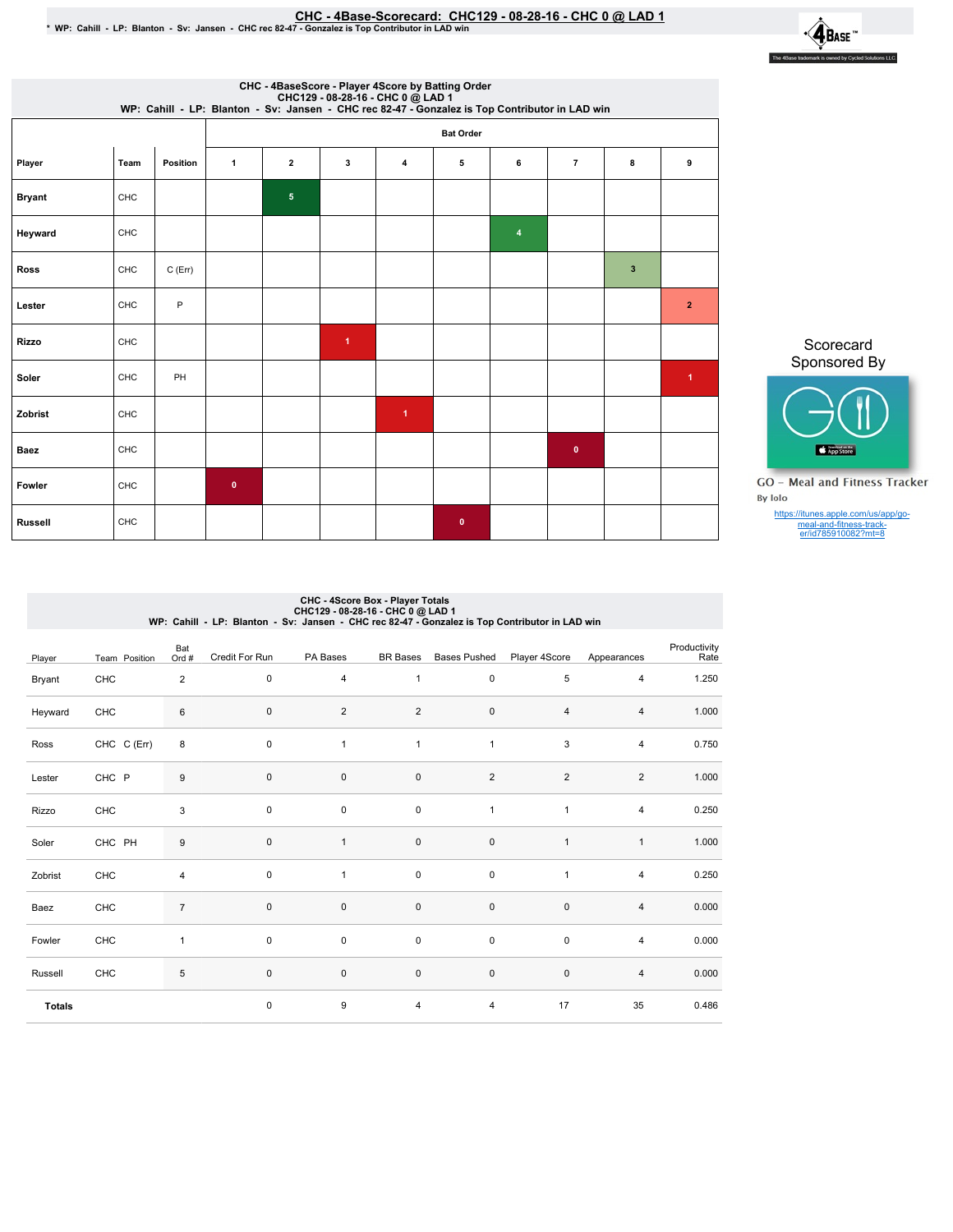## ©HC - 4Base-Scorecard: CHC129 - 08-28-16 - CHC 0 @ LAD 1.<br>\* WP: Cahill - LP: Blanton - Sv: Jansen - CHC rec 82-47-Gonzalez is Top Contributor in LAD win



| CHC - 4BaseScore - Player 4Score by Batting Order<br>CHC129 - 08-28-16 - CHC 10 @ LAD 1<br>WP: Cahill - LP: Blanton - Sv: Jansen - CHC rec 82-47 - Gonzalez is Top Contributor in LAD win |      |           |              |                         |                      |                      |           |           |                |              |                      |  |  |  |  |
|-------------------------------------------------------------------------------------------------------------------------------------------------------------------------------------------|------|-----------|--------------|-------------------------|----------------------|----------------------|-----------|-----------|----------------|--------------|----------------------|--|--|--|--|
|                                                                                                                                                                                           |      |           |              | <b>Bat Order</b>        |                      |                      |           |           |                |              |                      |  |  |  |  |
| Player                                                                                                                                                                                    | Team | Position  | $\mathbf{1}$ | $\overline{\mathbf{2}}$ | 3                    | 4                    | 5         | 6         | $\overline{7}$ | 8            | 9                    |  |  |  |  |
| <b>Bryant</b>                                                                                                                                                                             | CHC  |           |              | $\overline{\mathbf{5}}$ |                      |                      |           |           |                |              |                      |  |  |  |  |
| Heyward                                                                                                                                                                                   | CHC  |           |              |                         |                      |                      |           | $\pmb{4}$ |                |              |                      |  |  |  |  |
| <b>Ross</b>                                                                                                                                                                               | CHC  | $C$ (Err) |              |                         |                      |                      |           |           |                | $\mathbf{3}$ |                      |  |  |  |  |
| Lester                                                                                                                                                                                    | CHC  | P         |              |                         |                      |                      |           |           |                |              | $\overline{2}$       |  |  |  |  |
| <b>Rizzo</b>                                                                                                                                                                              | CHC  |           |              |                         | $\blacktriangleleft$ |                      |           |           |                |              |                      |  |  |  |  |
| Soler                                                                                                                                                                                     | CHC  | PH        |              |                         |                      |                      |           |           |                |              | $\blacktriangleleft$ |  |  |  |  |
| Zobrist                                                                                                                                                                                   | CHC  |           |              |                         |                      | $\blacktriangleleft$ |           |           |                |              |                      |  |  |  |  |
| Baez                                                                                                                                                                                      | CHC  |           |              |                         |                      |                      |           |           | $\mathbf 0$    |              |                      |  |  |  |  |
| Fowler                                                                                                                                                                                    | CHC  |           | $\mathbf 0$  |                         |                      |                      |           |           |                |              |                      |  |  |  |  |
| <b>Russell</b>                                                                                                                                                                            | CHC  |           |              |                         |                      |                      | $\pmb{0}$ |           |                |              |                      |  |  |  |  |

Scorecard Sponsored By



**GO** - Meal and Fitness Tracker By Iolo

https://itunes.apple.com/us/app/go-meal-and-fitness-track-er/id785910082?mt=8

# CHC - 4Score Box - Player Totals<br>CHC129 - 08-28-16 - CHC129<br>WP: Cahill - LP: Blanton - Sv: Jansen - CHC rec 82-47 - Gonzalez is Top Contributor in LAD win

| Player        | Team Position | Bat<br>Ord #            | Credit For Run | PA Bases         | <b>BR</b> Bases         | <b>Bases Pushed</b> | Player 4Score  | Appearances    | Productivity<br>Rate |
|---------------|---------------|-------------------------|----------------|------------------|-------------------------|---------------------|----------------|----------------|----------------------|
| Bryant        | CHC           | $\overline{2}$          | $\pmb{0}$      | $\overline{4}$   | $\mathbf{1}$            | $\pmb{0}$           | 5              | $\overline{4}$ | 1.250                |
| Heyward       | CHC           | 6                       | $\pmb{0}$      | $\overline{2}$   | $\overline{c}$          | $\pmb{0}$           | $\sqrt{4}$     | $\overline{4}$ | 1.000                |
| Ross          | CHC C (Err)   | 8                       | $\pmb{0}$      | $\mathbf{1}$     | $\mathbf{1}$            | $\mathbf{1}$        | 3              | $\overline{4}$ | 0.750                |
| Lester        | CHC P         | $\mathsf g$             | $\pmb{0}$      | $\mathbf 0$      | $\pmb{0}$               | $\overline{2}$      | $\overline{c}$ | $\overline{2}$ | 1.000                |
| Rizzo         | CHC           | 3                       | $\pmb{0}$      | $\mathbf 0$      | $\pmb{0}$               | $\mathbf{1}$        | $\mathbf{1}$   | $\overline{4}$ | 0.250                |
| Soler         | CHC PH        | $\boldsymbol{9}$        | $\pmb{0}$      | $\mathbf{1}$     | $\pmb{0}$               | $\pmb{0}$           | $\mathbf{1}$   | $\mathbf{1}$   | 1.000                |
| Zobrist       | CHC           | $\overline{\mathbf{4}}$ | $\pmb{0}$      | $\mathbf{1}$     | $\pmb{0}$               | $\pmb{0}$           | $\mathbf{1}$   | $\overline{4}$ | 0.250                |
| Baez          | CHC           | $\overline{7}$          | $\pmb{0}$      | $\pmb{0}$        | $\pmb{0}$               | $\pmb{0}$           | $\pmb{0}$      | 4              | 0.000                |
| Fowler        | CHC           | $\mathbf{1}$            | $\pmb{0}$      | $\mathsf 0$      | $\pmb{0}$               | $\pmb{0}$           | $\mathsf 0$    | $\overline{4}$ | 0.000                |
| Russell       | CHC           | 5                       | $\pmb{0}$      | $\mathbf 0$      | $\pmb{0}$               | $\pmb{0}$           | $\mathbf 0$    | 4              | 0.000                |
| <b>Totals</b> |               |                         | $\pmb{0}$      | $\boldsymbol{9}$ | $\overline{\mathbf{4}}$ | 4                   | 17             | 35             | 0.486                |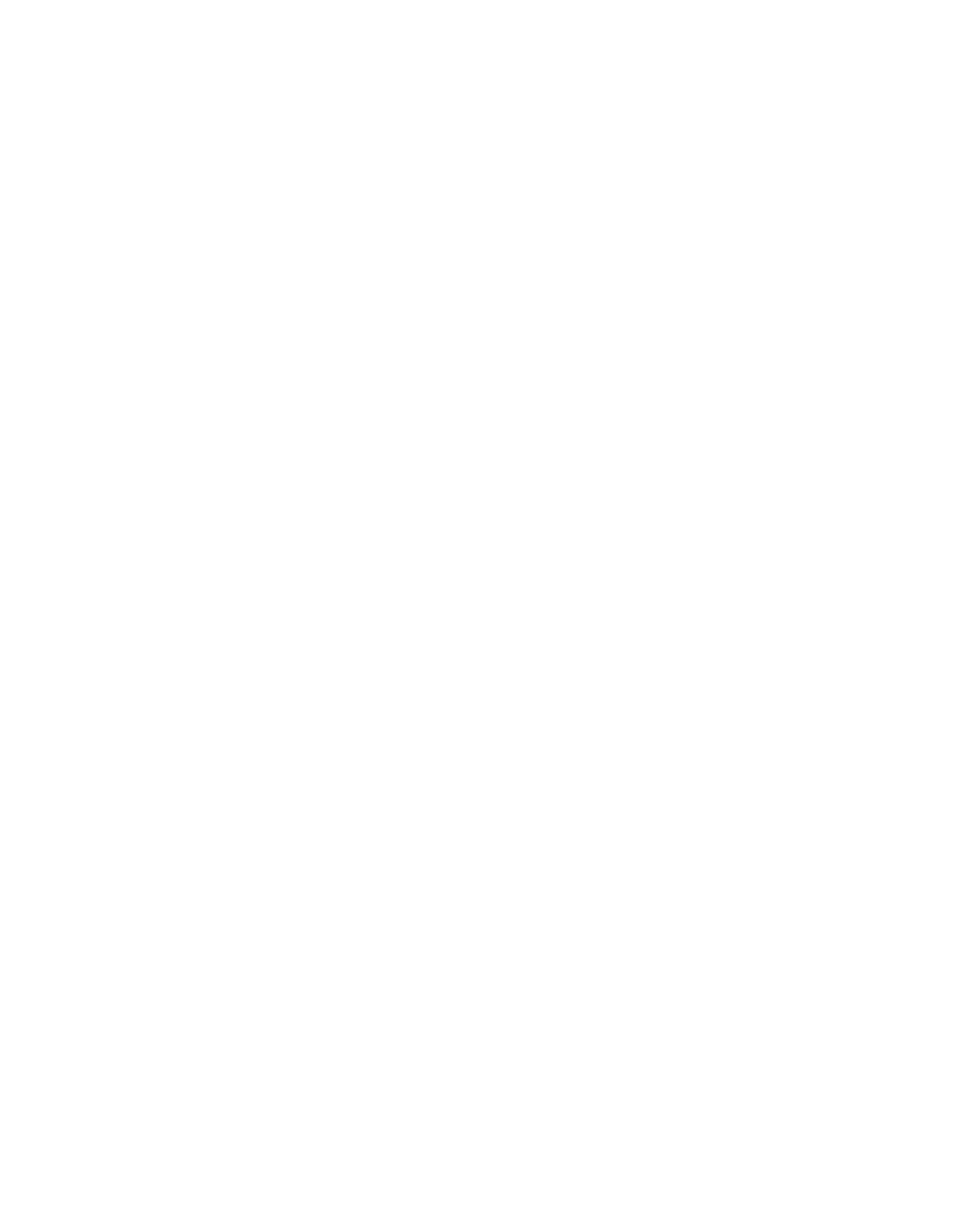$8+8$  #  $/$  \$'

| & + & %DVH6FRUH 300 NHJ 6FRUHE\%DWMQJ 2 UGHU<br>3 & DKLOD /3 %DDQMRQ 6Y - DQVHQ & +& UHF * RQJDDHJLV7RS&RQMUEXMRULQ/\$'ZLQ |         |              |  |           |  |  |  |  |  |  |  |  |  |
|----------------------------------------------------------------------------------------------------------------------------|---------|--------------|--|-----------|--|--|--|--|--|--|--|--|--|
|                                                                                                                            |         |              |  | %DW2 LGHU |  |  |  |  |  |  |  |  |  |
| 300 HU                                                                                                                     | 7HDP    | 3 RVIMRQ     |  |           |  |  |  |  |  |  |  |  |  |
| %U DOW                                                                                                                     | $8 + 8$ |              |  |           |  |  |  |  |  |  |  |  |  |
| $+HZDIG$                                                                                                                   | $8 + 8$ |              |  |           |  |  |  |  |  |  |  |  |  |
| 5 RW                                                                                                                       | $8 + 8$ | & (W)        |  |           |  |  |  |  |  |  |  |  |  |
| / HMMU                                                                                                                     | $8 + 8$ | $\mathbf{3}$ |  |           |  |  |  |  |  |  |  |  |  |
| 5 Y ] R                                                                                                                    | $8 + 8$ |              |  |           |  |  |  |  |  |  |  |  |  |
| 6ROHU                                                                                                                      | $8 + 8$ | $3+$         |  |           |  |  |  |  |  |  |  |  |  |
| $=$ REULWV                                                                                                                 | $8 + 8$ |              |  |           |  |  |  |  |  |  |  |  |  |
| $%$ DH                                                                                                                     | $8 + 8$ |              |  |           |  |  |  |  |  |  |  |  |  |
| ) RZ OHU                                                                                                                   | $8 + 8$ |              |  |           |  |  |  |  |  |  |  |  |  |
| 5 XVVHO                                                                                                                    | $8 + 8$ |              |  |           |  |  |  |  |  |  |  |  |  |

6 FRUHFDLG 6 SROVRUHG %

<u>KWOSY WACHYDSSON FRP XVDSSJR</u><br>PHDCDQGILWOHAYWOFN<br><u>HULG "PW</u>

|                 |              |             |  | & + & 6 FRUH%R[ 30D\HU7RWDOV<br>$8+8$ $8+8$ $\#$ / \$' | : 3 & DKLOD / 3 %DDQMRQ 6Y - DQVHQ & + & UHF * RQJDDHJLV 7RS&RQMLEXMRULQ / \$' ZLQ |  |                    |
|-----------------|--------------|-------------|--|--------------------------------------------------------|------------------------------------------------------------------------------------|--|--------------------|
| 30 NU           | 7HDP 3RVWLRQ | %DW<br>2 UG |  |                                                        | & UHGLV) RUSXQ 3\$%DVHV %5%DVHV %DVHV3XVKHG 300AHU 6FRUH \$SSHDUDGFHV              |  | 3 URGXFWYUW<br>5DM |
| <b>YAJI DOW</b> | $8 + 8$      |             |  |                                                        |                                                                                    |  |                    |
| $+HZDIB$        | $8 + 8$      |             |  |                                                        |                                                                                    |  |                    |
| 5 RW            | & + & & (W)  |             |  |                                                        |                                                                                    |  |                    |
| / HMMU          | $8 + 8$ 3    |             |  |                                                        |                                                                                    |  |                    |
| 5 L ] R         | $8 + 8$      |             |  |                                                        |                                                                                    |  |                    |
| 6 ROHU          | $8+8$ 3+     |             |  |                                                        |                                                                                    |  |                    |
| $=$ REULWV      | $8 + 8$      |             |  |                                                        |                                                                                    |  |                    |
| %DH             | $8 + 8$      |             |  |                                                        |                                                                                    |  |                    |
| ) RZ OHU        | $8 + 8$      |             |  |                                                        |                                                                                    |  |                    |
| 5 XVVHO         | $8 + 8$      |             |  |                                                        |                                                                                    |  |                    |
| 7RWDOV          |              |             |  |                                                        |                                                                                    |  |                    |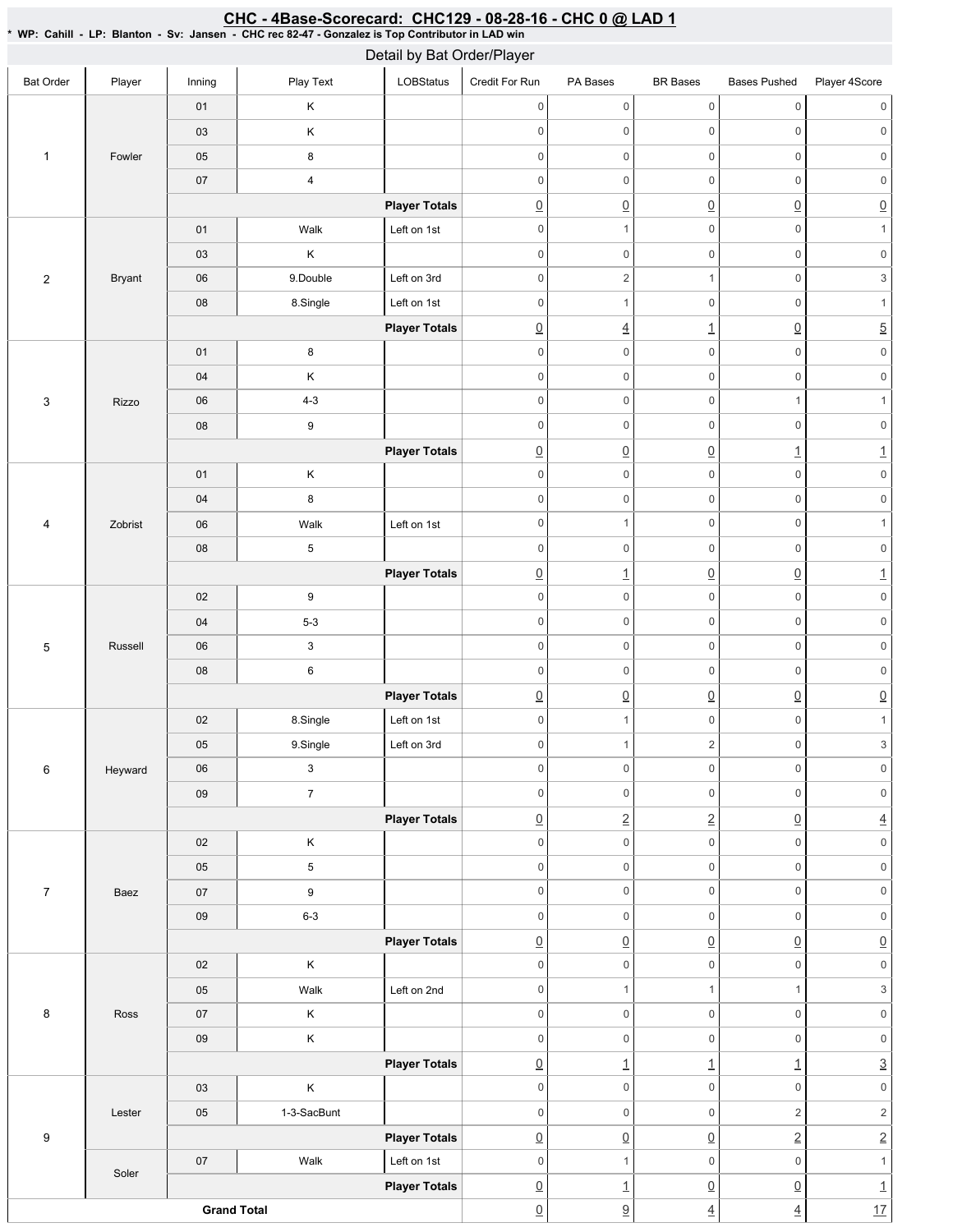| Detail by Bat Order/Player |               |                    |                           |                      |                     |                          |                     |                          |                           |  |  |  |
|----------------------------|---------------|--------------------|---------------------------|----------------------|---------------------|--------------------------|---------------------|--------------------------|---------------------------|--|--|--|
| <b>Bat Order</b>           | Player        | Inning             | Play Text                 | LOBStatus            | Credit For Run      | PA Bases                 | <b>BR</b> Bases     | <b>Bases Pushed</b>      | Player 4Score             |  |  |  |
|                            | Fowler        | $01$               | $\sf K$                   |                      | $\mathsf{O}\xspace$ | $\mathsf{O}\xspace$      | $\mathsf{O}\xspace$ | $\mathsf{O}\xspace$      | $\boldsymbol{0}$          |  |  |  |
|                            |               | $03\,$             | $\mathsf K$               |                      | $\mathbf 0$         | $\mathsf{O}\xspace$      | $\mathsf{O}\xspace$ | $\mathsf{O}\xspace$      | $\mathsf{O}$              |  |  |  |
| $\mathbf{1}$               |               | 05                 | $\bf 8$                   |                      | $\mathbf 0$         | $\mathsf{0}$             | $\mathsf 0$         | $\mathsf{O}\xspace$      | $\mathsf{O}\xspace$       |  |  |  |
|                            |               | 07                 | $\overline{\mathbf{4}}$   |                      | $\mathsf{O}\xspace$ | $\mathsf{0}$             | $\mathbf 0$         | $\mathsf{O}\xspace$      | $\mathsf{0}$              |  |  |  |
|                            |               |                    |                           | <b>Player Totals</b> | $\underline{0}$     | $\underline{0}$          | $\underline{0}$     | $\underline{0}$          | $\underline{0}$           |  |  |  |
|                            |               | $01$               | Walk                      | Left on 1st          | $\mathsf 0$         | $\mathbf{1}$             | $\mathsf 0$         | $\mathsf{O}\xspace$      | $\mathbf{1}$              |  |  |  |
|                            |               | 03                 | Κ                         |                      | $\mathsf{O}\xspace$ | $\mathsf{0}$             | $\mathsf 0$         | $\mathsf 0$              | $\mathsf{0}$              |  |  |  |
| $\overline{c}$             | <b>Bryant</b> | $06\,$             | 9.Double                  | Left on 3rd          | $\mathbf 0$         | $\overline{c}$           | $\mathbf{1}$        | $\mathsf{O}\xspace$      | $\mathsf 3$               |  |  |  |
|                            |               | ${\bf 08}$         | 8.Single                  | Left on 1st          | $\mathbb O$         | $\mathbf{1}$             | $\mathsf{O}\xspace$ | $\mathbf 0$              | $\mathbf{1}$              |  |  |  |
|                            |               |                    |                           | <b>Player Totals</b> | $\underline{0}$     | $\overline{4}$           | $\overline{1}$      | $\underline{0}$          | $\overline{5}$            |  |  |  |
|                            |               | $01$               | $\bf 8$                   |                      | $\mathbf 0$         | $\mathsf{O}\xspace$      | $\mathbf 0$         | $\mathsf{O}\xspace$      | $\mathsf{O}\xspace$       |  |  |  |
|                            |               | 04                 | $\mathsf K$               |                      | $\mathsf{O}\xspace$ | $\mathsf{O}\xspace$      | $\mathsf{O}\xspace$ | $\mathsf{O}\xspace$      | $\mathsf{O}\xspace$       |  |  |  |
| $\ensuremath{\mathsf{3}}$  | Rizzo         | $06\,$             | $4 - 3$                   |                      | $\mathbf 0$         | $\mathsf{0}$             | $\mathsf{O}\xspace$ | $\mathbf{1}$             | $\mathbf{1}$              |  |  |  |
|                            |               | ${\bf 08}$         | $\boldsymbol{9}$          |                      | $\mathbf 0$         | $\mathsf{O}\xspace$      | $\mathsf 0$         | $\mathsf 0$              | $\mathsf{O}\xspace$       |  |  |  |
|                            |               |                    |                           | <b>Player Totals</b> | $\underline{0}$     | $\underline{0}$          | $\overline{0}$      | $\underline{\mathbf{1}}$ | $\underline{1}$           |  |  |  |
|                            |               | $01$               | $\sf K$                   |                      | $\mathsf 0$         | $\mathsf{0}$             | $\mathbf 0$         | $\mathbf 0$              | $\mathsf{O}\xspace$       |  |  |  |
| $\overline{4}$             | Zobrist       | 04                 | 8                         |                      | $\,0\,$             | $\mathsf{0}$             | $\mathsf{O}\xspace$ | $\mathsf{O}\xspace$      | $\mathsf{O}\xspace$       |  |  |  |
|                            |               | $06\,$             | Walk                      | Left on 1st          | $\mathbf 0$         | $\mathbf{1}$             | $\mathsf{O}\xspace$ | $\mathsf{O}\xspace$      | $\mathbf{1}$              |  |  |  |
|                            |               | ${\bf 08}$         | $\sqrt{5}$                |                      | $\mathbf 0$         | $\mathsf{0}$             | $\mathsf 0$         | $\mathsf{O}\xspace$      | $\mathsf{0}$              |  |  |  |
|                            |               |                    |                           | <b>Player Totals</b> | $\underline{0}$     | $\underline{\mathbf{1}}$ | $\underline{0}$     | $\underline{0}$          | $\underline{\mathbf{1}}$  |  |  |  |
|                            |               | $02\,$             | $\boldsymbol{9}$          |                      | $\mathsf 0$         | $\mathsf{0}$             | $\mathsf{O}\xspace$ | $\mathsf{O}\xspace$      | $\mathsf{O}\xspace$       |  |  |  |
|                            |               | 04                 | $5-3$                     |                      | $\mathsf 0$         | $\mathsf{O}\xspace$      | $\mathsf{O}\xspace$ | $\mathbf 0$              | $\mathsf{O}\xspace$       |  |  |  |
| $\,$ 5 $\,$                | Russell       | ${\bf 06}$         | $\ensuremath{\mathsf{3}}$ |                      | $\mathsf{O}\xspace$ | $\mathsf{0}$             | $\mathsf 0$         | $\mathsf 0$              | $\mathsf{0}$              |  |  |  |
|                            |               | ${\bf 08}$         | $\,6\,$                   |                      | $\mathbf 0$         | $\mathsf{O}\xspace$      | $\mathsf 0$         | $\mathsf{O}\xspace$      | $\mathsf{O}\xspace$       |  |  |  |
|                            |               |                    |                           | <b>Player Totals</b> | $\underline{0}$     | $\underline{0}$          | $\underline{0}$     | $\underline{0}$          | $\underline{0}$           |  |  |  |
|                            | Heyward       | $02\,$             | 8.Single                  | Left on 1st          | $\mathsf{O}\xspace$ | $\mathbf{1}$             | $\mathsf 0$         | $\mathsf{O}\xspace$      | $\mathbf{1}$              |  |  |  |
|                            |               | $05\,$             | 9.Single                  | Left on 3rd          | $\mathsf{O}\xspace$ | 1                        | $\overline{c}$      | $\mathsf{O}\,\,$         | 3                         |  |  |  |
| 6                          |               | 06                 | 3                         |                      | $\mathsf{O}\xspace$ | $\mathsf{O}\xspace$      | $\mathsf{O}\xspace$ | $\mathsf{O}\xspace$      | $\mathsf{O}\xspace$       |  |  |  |
|                            |               | 09                 | $\overline{7}$            |                      | $\mathsf 0$         | $\mathsf{O}\xspace$      | $\mathsf{O}\xspace$ | $\mathsf{O}\xspace$      | $\mathsf{O}\xspace$       |  |  |  |
|                            |               |                    |                           | <b>Player Totals</b> | $\underline{0}$     | $\underline{2}$          | $\underline{2}$     | $\underline{0}$          | $\overline{4}$            |  |  |  |
|                            |               | $02\,$             | $\mathsf K$               |                      | $\mathsf{O}\xspace$ | $\mathsf{O}\xspace$      | $\mathbf 0$         | $\mathsf{O}\xspace$      | $\mathsf{O}\xspace$       |  |  |  |
|                            |               | 05                 | $\sqrt{5}$                |                      | $\mathbf 0$         | $\mathsf{O}\xspace$      | $\mathsf{O}\xspace$ | $\mathsf{O}\xspace$      | $\mathsf{O}\xspace$       |  |  |  |
| $\boldsymbol{7}$           | Baez          | $07\,$             | $\boldsymbol{9}$          |                      | $\mathsf 0$         | $\mathsf{O}\xspace$      | $\mathsf{O}\xspace$ | $\mathsf{O}\xspace$      | $\mathsf{O}\xspace$       |  |  |  |
|                            |               | 09                 | $6 - 3$                   |                      | $\mathsf{O}\xspace$ | $\mathsf{O}\xspace$      | $\mathsf{O}\xspace$ | $\mathsf{O}\xspace$      | $\mathsf{O}\xspace$       |  |  |  |
|                            |               |                    |                           | <b>Player Totals</b> | $\underline{0}$     | $\underline{0}$          | $\underline{0}$     | $\underline{0}$          | $\underline{0}$           |  |  |  |
|                            |               | $02\,$             | $\mathsf K$               |                      | $\mathsf{O}\xspace$ | $\mathsf{0}$             | $\mathsf{O}\xspace$ | $\mathsf{O}\xspace$      | $\mathsf{O}\xspace$       |  |  |  |
|                            |               | 05                 | Walk                      | Left on 2nd          | $\mathsf 0$         | $\mathbf{1}$             | $\mathbf{1}$        | $\mathbf{1}$             | $\ensuremath{\mathsf{3}}$ |  |  |  |
| 8                          | Ross          | $07\,$             | K                         |                      | $\mathbf 0$         | $\mathsf{O}\xspace$      | $\mathsf{O}\xspace$ | $\mathbf 0$              | $\mathsf{0}$              |  |  |  |
|                            |               | $09\,$             | $\mathsf K$               |                      | $\mathsf{O}\xspace$ | $\mathsf{O}\xspace$      | $\mathbf 0$         | $\mathsf{O}\xspace$      | $\mathsf{O}\xspace$       |  |  |  |
|                            |               |                    |                           | <b>Player Totals</b> | $\underline{0}$     | $\overline{1}$           | $\overline{1}$      | $\overline{1}$           | $\overline{3}$            |  |  |  |
|                            |               | 03                 | $\sf K$                   |                      | $\mathsf 0$         | $\mathsf{O}\xspace$      | $\mathsf 0$         | $\mathsf{O}$             | $\mathsf{O}\xspace$       |  |  |  |
|                            | Lester        | 05                 | 1-3-SacBunt               |                      | $\mathsf{O}\xspace$ | $\mathsf{O}\xspace$      | $\mathsf{O}\xspace$ | $\overline{2}$           | $\sqrt{2}$                |  |  |  |
| $\boldsymbol{9}$           |               |                    |                           | <b>Player Totals</b> | $\underline{0}$     | $\underline{0}$          | $\underline{0}$     | $\underline{2}$          | $\underline{2}$           |  |  |  |
|                            | Soler         | $07\,$             | Walk                      | Left on 1st          | $\mathsf 0$         | $\mathbf{1}$             | $\mathsf{O}\xspace$ | $\mathsf{O}\xspace$      | $\mathbf{1}$              |  |  |  |
|                            |               |                    |                           | <b>Player Totals</b> | $\underline{0}$     | $\underline{\mathbf{1}}$ | $\underline{0}$     | $\underline{0}$          | $\underline{\mathbf{1}}$  |  |  |  |
|                            |               | <b>Grand Total</b> |                           | $\underline{0}$      | $\underline{9}$     | $\underline{4}$          | $\underline{4}$     | 17                       |                           |  |  |  |

### <u>CHC - 4Base-Scorecard: CHC129 - 08-28-16 - CHC 0 @ LAD 1</u>

\*WP:Cahill-LP:Blanton-Sv:Jansen-CHCrec82-47-GonzalezisTopContributorinLADwin